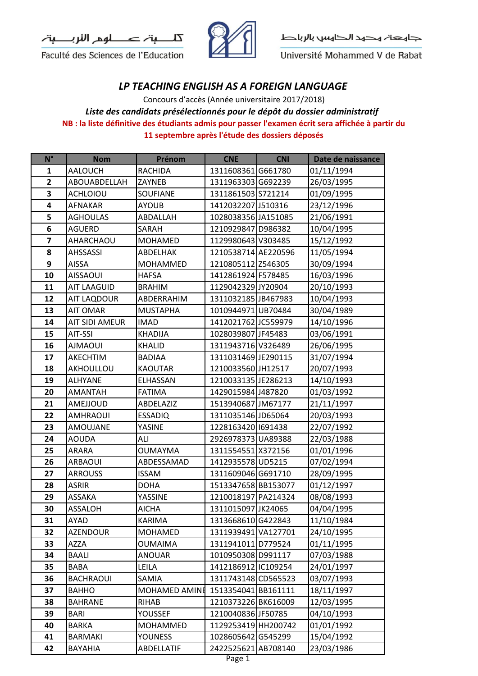

Faculté des Sciences de l'Education



جاهعة هحهد الحناهس بالرباط

Université Mohammed V de Rabat

## *LP TEACHING ENGLISH AS A FOREIGN LANGUAGE*

**NB : la liste définitive des étudiants admis pour passer l'examen écrit sera affichée à partir du 11 septembre après l'étude des dossiers déposés** Concours d'accès (Année universitaire 2017/2018) *Liste des candidats présélectionnés pour le dépôt du dossier administratif* 

| $N^{\circ}$             | <b>Nom</b>         | Prénom          | <b>CNE</b>          | <b>CNI</b> | Date de naissance |
|-------------------------|--------------------|-----------------|---------------------|------------|-------------------|
| 1                       | <b>AALOUCH</b>     | <b>RACHIDA</b>  | 1311608361 G661780  |            | 01/11/1994        |
| $\mathbf{2}$            | ABOUABDELLAH       | ZAYNEB          | 1311963303 G692239  |            | 26/03/1995        |
| 3                       | <b>ACHLOIOU</b>    | <b>SOUFIANE</b> | 1311861503 S721214  |            | 01/09/1995        |
| 4                       | AFNAKAR            | <b>AYOUB</b>    | 1412032207 J510316  |            | 23/12/1996        |
| 5                       | <b>AGHOULAS</b>    | ABDALLAH        | 1028038356 JA151085 |            | 21/06/1991        |
| 6                       | AGUERD             | SARAH           | 1210929847 D986382  |            | 10/04/1995        |
| $\overline{\mathbf{z}}$ | AHARCHAOU          | <b>MOHAMED</b>  | 1129980643 V303485  |            | 15/12/1992        |
| 8                       | <b>AHSSASSI</b>    | ABDELHAK        | 1210538714 AE220596 |            | 11/05/1994        |
| 9                       | <b>AISSA</b>       | MOHAMMED        | 1210805112 Z546305  |            | 30/09/1994        |
| 10                      | <b>AISSAOUI</b>    | <b>HAFSA</b>    | 1412861924 F578485  |            | 16/03/1996        |
| 11                      | <b>AIT LAAGUID</b> | <b>BRAHIM</b>   | 1129042329 JY20904  |            | 20/10/1993        |
| 12                      | AIT LAQDOUR        | ABDERRAHIM      | 1311032185 JB467983 |            | 10/04/1993        |
| 13                      | <b>AIT OMAR</b>    | <b>MUSTAPHA</b> | 1010944971UB70484   |            | 30/04/1989        |
| 14                      | AIT SIDI AMEUR     | <b>IMAD</b>     | 1412021762 JC559979 |            | 14/10/1996        |
| 15                      | AIT-SSI            | <b>KHADIJA</b>  | 1028039807 JF45483  |            | 03/06/1991        |
| 16                      | <b>IUOAMLA</b>     | <b>KHALID</b>   | 1311943716 V326489  |            | 26/06/1995        |
| 17                      | <b>AKECHTIM</b>    | <b>BADIAA</b>   | 1311031469 JE290115 |            | 31/07/1994        |
| 18                      | AKHOULLOU          | <b>KAOUTAR</b>  | 1210033560 JH12517  |            | 20/07/1993        |
| 19                      | <b>ALHYANE</b>     | ELHASSAN        | 1210033135 JE286213 |            | 14/10/1993        |
| 20                      | <b>AMANTAH</b>     | <b>FATIMA</b>   | 1429015984 J487820  |            | 01/03/1992        |
| 21                      | AMEJJOUD           | ABDELAZIZ       | 1513940687 JM67177  |            | 21/11/1997        |
| 22                      | <b>AMHRAOUI</b>    | <b>ESSADIQ</b>  | 1311035146 JD65064  |            | 20/03/1993        |
| 23                      | <b>AMOUJANE</b>    | YASINE          | 1228163420 691438   |            | 22/07/1992        |
| 24                      | <b>AOUDA</b>       | ALI             | 2926978373 UA89388  |            | 22/03/1988        |
| 25                      | ARARA              | <b>OUMAYMA</b>  | 1311554551 X372156  |            | 01/01/1996        |
| 26                      | ARBAOUI            | ABDESSAMAD      | 1412935578 UD5215   |            | 07/02/1994        |
| 27                      | <b>ARROUSS</b>     | <b>ISSAM</b>    | 1311609046 G691710  |            | 28/09/1995        |
| 28                      | <b>ASRIR</b>       | <b>DOHA</b>     | 1513347658 BB153077 |            | 01/12/1997        |
| 29                      | ASSAKA             | YASSINE         | 1210018197 PA214324 |            | 08/08/1993        |
| 30                      | ASSALOH            | <b>AICHA</b>    | 1311015097 JK24065  |            | 04/04/1995        |
| 31                      | AYAD               | KARIMA          | 1313668610G422843   |            | 11/10/1984        |
| 32                      | AZENDOUR           | MOHAMED         | 1311939491 VA127701 |            | 24/10/1995        |
| 33                      | AZZA               | <b>OUMAIMA</b>  | 1311941011 D779524  |            | 01/11/1995        |
| 34                      | BAALI              | <b>ANOUAR</b>   | 1010950308 D991117  |            | 07/03/1988        |
| 35                      | BABA               | LEILA           | 1412186912 C109254  |            | 24/01/1997        |
| 36                      | <b>BACHRAOUI</b>   | SAMIA           | 1311743148 CD565523 |            | 03/07/1993        |
| 37                      | <b>BAHHO</b>       | MOHAMED AMINE   | 1513354041 BB161111 |            | 18/11/1997        |
| 38                      | <b>BAHRANE</b>     | RIHAB           | 1210373226BK616009  |            | 12/03/1995        |
| 39                      | BARI               | <b>YOUSSEF</b>  | 1210040836 JF50785  |            | 04/10/1993        |
| 40                      | BARKA              | MOHAMMED        | 1129253419 HH200742 |            | 01/01/1992        |
| 41                      | <b>BARMAKI</b>     | <b>YOUNESS</b>  | 1028605642 G545299  |            | 15/04/1992        |
| 42                      | BAYAHIA            | ABDELLATIF      | 2422525621 AB708140 |            | 23/03/1986        |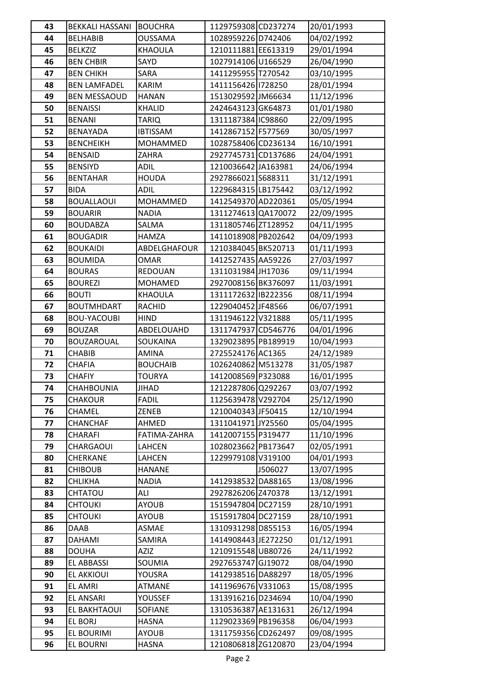| 43       | <b>BEKKALI HASSANI</b>           | <b>BOUCHRA</b>               | 1129759308 CD237274                      |         | 20/01/1993               |
|----------|----------------------------------|------------------------------|------------------------------------------|---------|--------------------------|
| 44       | <b>BELHABIB</b>                  | <b>OUSSAMA</b>               | 1028959226 D742406                       |         | 04/02/1992               |
| 45       | <b>BELKZIZ</b>                   | KHAOULA                      | 1210111881 EE613319                      |         | 29/01/1994               |
| 46       | <b>BEN CHBIR</b>                 | SAYD                         | 1027914106U166529                        |         | 26/04/1990               |
| 47       | <b>BEN CHIKH</b>                 | SARA                         | 1411295955 T270542                       |         | 03/10/1995               |
| 48       | <b>BEN LAMFADEL</b>              | <b>KARIM</b>                 | 1411156426 1728250                       |         | 28/01/1994               |
| 49       | <b>BEN MESSAOUD</b>              | <b>HANAN</b>                 | 1513029592 JM66634                       |         | 11/12/1996               |
| 50       | <b>BENAISSI</b>                  | <b>KHALID</b>                | 2424643123 GK64873                       |         | 01/01/1980               |
| 51       | <b>BENANI</b>                    | <b>TARIQ</b>                 | 1311187384 IC98860                       |         | 22/09/1995               |
| 52       | BENAYADA                         | <b>IBTISSAM</b>              | 1412867152 F577569                       |         | 30/05/1997               |
| 53       | <b>BENCHEIKH</b>                 | MOHAMMED                     | 1028758406 CD236134                      |         | 16/10/1991               |
| 54       | <b>BENSAID</b>                   | ZAHRA                        | 2927745731 CD137686                      |         | 24/04/1991               |
| 55       | <b>BENSIYD</b>                   | ADIL                         | 1210036642 JA163981                      |         | 24/06/1994               |
| 56       | <b>BENTAHAR</b>                  | <b>HOUDA</b>                 | 2927866021 S688311                       |         | 31/12/1991               |
| 57       | <b>BIDA</b>                      | <b>ADIL</b>                  | 1229684315 LB175442                      |         | 03/12/1992               |
| 58       | <b>BOUALLAOUI</b>                | <b>MOHAMMED</b>              | 1412549370 AD220361                      |         | 05/05/1994               |
| 59       | <b>BOUARIR</b>                   | <b>NADIA</b>                 | 1311274613 QA170072                      |         | 22/09/1995               |
| 60       | <b>BOUDABZA</b>                  | SALMA                        | 1311805746 ZT128952                      |         | 04/11/1995               |
| 61       | <b>BOUGADIR</b>                  | <b>HAMZA</b>                 | 1411018908 PB202642                      |         | 04/09/1993               |
| 62       | <b>BOUKAIDI</b>                  | ABDELGHAFOUR                 | 1210384045 BK520713                      |         | 01/11/1993               |
| 63       | <b>BOUMIDA</b>                   | <b>OMAR</b>                  | 1412527435 AA59226                       |         | 27/03/1997               |
| 64       | <b>BOURAS</b>                    | REDOUAN                      | 1311031984JH17036                        |         | 09/11/1994               |
| 65       | <b>BOUREZI</b>                   | MOHAMED                      | 2927008156BK376097                       |         | 11/03/1991               |
| 66       | <b>BOUTI</b>                     | KHAOULA                      | 1311172632 B222356                       |         | 08/11/1994               |
| 67       | <b>BOUTMHDART</b>                | <b>RACHID</b>                | 1229040452 JF48566                       |         | 06/07/1991               |
| 68       | <b>BOU-YACOUBI</b>               | <b>HIND</b>                  | 1311946122 V321888                       |         | 05/11/1995               |
| 69       | <b>BOUZAR</b>                    | ABDELOUAHD                   | 1311747937 CD546776                      |         | 04/01/1996               |
| 70       | <b>BOUZAROUAL</b>                | SOUKAINA                     | 1329023895 PB189919                      |         | 10/04/1993               |
| 71       | <b>CHABIB</b>                    | AMINA                        | 2725524176 AC1365                        |         | 24/12/1989               |
| 72       | <b>CHAFIA</b>                    | <b>BOUCHAIB</b>              | 1026240862 M513278                       |         | 31/05/1987               |
| 73       | <b>CHAFIY</b>                    | <b>TOURYA</b>                | 1412008569 P323088                       |         | 16/01/1995               |
| 74       | <b>CHAHBOUNIA</b>                | <b>JIHAD</b>                 | 1212287806 Q292267                       |         | 03/07/1992               |
| 75       | <b>CHAKOUR</b>                   | <b>FADIL</b>                 | 1125639478 V292704                       |         | 25/12/1990               |
| 76       | <b>CHAMEL</b>                    | <b>ZENEB</b>                 | 1210040343 JF50415                       |         | 12/10/1994               |
| 77       | <b>CHANCHAF</b>                  | AHMED                        | 1311041971 JY25560                       |         | 05/04/1995               |
| 78       | CHARAFI                          | FATIMA-ZAHRA                 | 1412007155 P319477                       |         | 11/10/1996               |
| 79       | CHARGAOUI                        | LAHCEN                       | 1028023662 PB173647                      |         | 02/05/1991               |
| 80       | CHERKANE                         | LAHCEN                       | 1229979108 V319100                       |         | 04/01/1993               |
| 81       | <b>CHIBOUB</b>                   | <b>HANANE</b>                |                                          | J506027 | 13/07/1995               |
| 82       | <b>CHLIKHA</b>                   | <b>NADIA</b>                 | 1412938532 DA88165                       |         | 13/08/1996               |
| 83       | CHTATOU                          | ALI                          | 2927826206 Z470378                       |         | 13/12/1991               |
| 84<br>85 | <b>CHTOUKI</b><br><b>CHTOUKI</b> | <b>AYOUB</b><br><b>AYOUB</b> | 1515947804 DC27159<br>1515917804 DC27159 |         | 28/10/1991               |
| 86       | DAAB                             | ASMAE                        | 1310931298 D855153                       |         | 28/10/1991<br>16/05/1994 |
| 87       | DAHAMI                           | SAMIRA                       | 1414908443 JE272250                      |         | 01/12/1991               |
| 88       | <b>DOUHA</b>                     | AZIZ                         | 1210915548 UB80726                       |         | 24/11/1992               |
| 89       | <b>EL ABBASSI</b>                | SOUMIA                       | 2927653747 GJ19072                       |         | 08/04/1990               |
| 90       | EL AKKIOUI                       | YOUSRA                       | 1412938516 DA88297                       |         | 18/05/1996               |
| 91       | <b>EL AMRI</b>                   | <b>ATMANE</b>                | 1411969676 V331063                       |         | 15/08/1995               |
| 92       | EL ANSARI                        | <b>YOUSSEF</b>               | 1313916216 D234694                       |         | 10/04/1990               |
| 93       | EL BAKHTAOUI                     | SOFIANE                      | 1310536387 AE131631                      |         | 26/12/1994               |
| 94       | EL BORJ                          | <b>HASNA</b>                 | 1129023369 PB196358                      |         | 06/04/1993               |
| 95       | EL BOURIMI                       | <b>AYOUB</b>                 | 1311759356 CD262497                      |         | 09/08/1995               |
| 96       | EL BOURNI                        | <b>HASNA</b>                 | 1210806818 ZG120870                      |         | 23/04/1994               |
|          |                                  |                              |                                          |         |                          |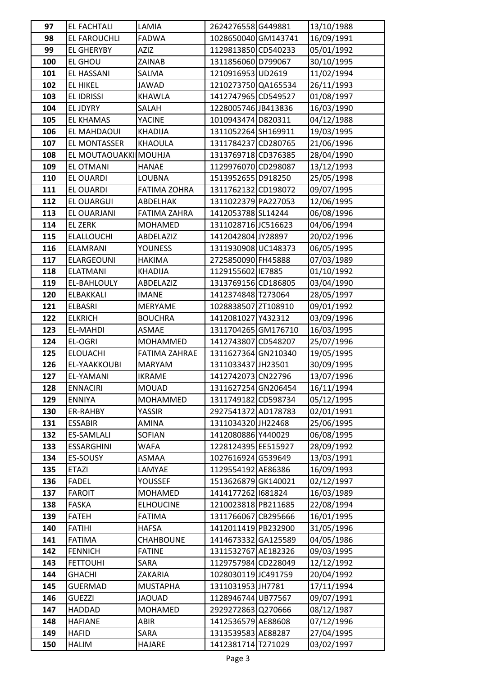| 97         | <b>EL FACHTALI</b>                | LAMIA                 | 2624276558G449881                          | 13/10/1988               |
|------------|-----------------------------------|-----------------------|--------------------------------------------|--------------------------|
| 98         | EL FAROUCHLI                      | <b>FADWA</b>          | 1028650040 GM143741                        | 16/09/1991               |
| 99         | <b>EL GHERYBY</b>                 | <b>AZIZ</b>           | 1129813850 CD540233                        | 05/01/1992               |
| 100        | <b>EL GHOU</b>                    | ZAINAB                | 1311856060 D799067                         | 30/10/1995               |
| 101        | EL HASSANI                        | SALMA                 | 1210916953 UD2619                          | 11/02/1994               |
| 102        | <b>EL HIKEL</b>                   | JAWAD                 | 1210273750 QA165534                        | 26/11/1993               |
| 103        | EL IDRISSI                        | <b>KHAWLA</b>         | 1412747965 CD549527                        | 01/08/1997               |
| 104        | EL JDYRY                          | SALAH                 | 1228005746 JB413836                        | 16/03/1990               |
| 105        | <b>EL KHAMAS</b>                  | YACINE                | 1010943474 D820311                         | 04/12/1988               |
| 106        | EL MAHDAOUI                       | <b>KHADIJA</b>        | 1311052264 SH169911                        | 19/03/1995               |
| 107        | EL MONTASSER                      | <b>KHAOULA</b>        | 1311784237 CD280765                        | 21/06/1996               |
| 108        | EL MOUTAOUAKKI MOUHJA             |                       | 1313769718 CD376385                        | 28/04/1990               |
| 109        | <b>EL OTMANI</b>                  | <b>HANAE</b>          | 1129976070 CD298087                        | 13/12/1993               |
| 110        | EL OUARDI                         | LOUBNA                | 1513952655 D918250                         | 25/05/1998               |
| 111        | EL OUARDI                         | <b>FATIMA ZOHRA</b>   | 1311762132 CD198072                        | 09/07/1995               |
| 112        | <b>EL OUARGUI</b>                 | ABDELHAK              | 1311022379 PA227053                        | 12/06/1995               |
| 113        | EL OUARJANI                       | FATIMA ZAHRA          | 1412053788 SL14244                         | 06/08/1996               |
| 114        | <b>EL ZERK</b>                    | MOHAMED               | 1311028716 JC516623                        | 04/06/1994               |
| 115        | <b>ELALLOUCHI</b>                 | ABDELAZIZ             | 1412042804 JY28897                         | 20/02/1996               |
| 116        | <b>ELAMRANI</b>                   | YOUNESS               | 1311930908 UC148373                        | 06/05/1995               |
| 117        | <b>ELARGEOUNI</b>                 | <b>HAKIMA</b>         | 2725850090 FH45888                         | 07/03/1989               |
| 118        | <b>ELATMANI</b>                   | <b>KHADIJA</b>        | 1129155602 IE7885                          | 01/10/1992               |
| 119        | EL-BAHLOULY                       | ABDELAZIZ             | 1313769156 CD186805                        | 03/04/1990               |
| 120        | ELBAKKALI                         | <b>IMANE</b>          | 1412374848 T273064                         | 28/05/1997               |
| 121        | ELBASRI                           | MERYAME               | 1028838507 ZT108910                        | 09/01/1992               |
| 122        | <b>ELKRICH</b>                    | <b>BOUCHRA</b>        | 1412081027 Y432312                         | 03/09/1996               |
| 123        | <b>EL-MAHDI</b>                   | ASMAE                 | 1311704265GM176710                         | 16/03/1995               |
| 124        | <b>EL-OGRI</b>                    | MOHAMMED              | 1412743807 CD548207                        | 25/07/1996               |
| 125        | <b>ELOUACHI</b>                   | <b>FATIMA ZAHRAE</b>  | 1311627364 GN210340                        | 19/05/1995               |
| 126        | EL-YAAKKOUBI                      | <b>MARYAM</b>         | 1311033437 JH23501                         | 30/09/1995               |
| 127        | EL-YAMANI                         | <b>IKRAME</b>         | 1412742073 CN22796                         | 13/07/1996               |
| 128        | <b>ENNACIRI</b>                   | MOUAD                 | 1311627254 GN206454                        | 16/11/1994               |
| 129        | <b>ENNIYA</b>                     | <b>MOHAMMED</b>       | 1311749182 CD598734                        | 05/12/1995               |
| 130        | ER-RAHBY                          | YASSIR                | 2927541372 AD178783                        | 02/01/1991               |
| 131        | <b>ESSABIR</b>                    | AMINA                 | 1311034320 JH22468                         | 25/06/1995               |
| 132        | <b>ES-SAMLALI</b>                 | SOFIAN                | 1412080886 Y440029                         | 06/08/1995               |
| 133        | <b>ESSARGHINI</b>                 | WAFA                  | 1228124395 EE515927                        | 28/09/1992               |
| 134        | ES-SOUSY                          | ASMAA                 | 1027616924 G539649                         | 13/03/1991               |
| 135        | <b>ETAZI</b>                      | LAMYAE                | 1129554192 AE86386                         | 16/09/1993               |
| 136        | <b>FADEL</b>                      | YOUSSEF               | 1513626879 GK140021                        | 02/12/1997               |
| 137        | <b>FAROIT</b>                     | MOHAMED               | 1414177262 681824                          | 16/03/1989               |
| 138        | <b>FASKA</b>                      | <b>ELHOUCINE</b>      | 1210023818 PB211685                        | 22/08/1994               |
| 139        | <b>FATEH</b>                      | <b>FATIMA</b>         | 1311766067 CB295666                        | 16/01/1995               |
| 140        | <b>FATIHI</b>                     | <b>HAFSA</b>          | 1412011419 PB232900                        | 31/05/1996               |
| 141        | <b>FATIMA</b>                     | CHAHBOUNE             | 1414673332 GA125589                        | 04/05/1986               |
| 142<br>143 | <b>FENNICH</b><br><b>FETTOUHI</b> | <b>FATINE</b><br>SARA | 1311532767 AE182326<br>1129757984 CD228049 | 09/03/1995<br>12/12/1992 |
| 144        | <b>GHACHI</b>                     | ZAKARIA               | 1028030119 JC491759                        | 20/04/1992               |
| 145        | <b>GUERMAD</b>                    | <b>MUSTAPHA</b>       | 1311031953 JH7781                          | 17/11/1994               |
| 146        | <b>GUEZZI</b>                     | JAOUAD                | 1128946744 UB77567                         | 09/07/1991               |
| 147        | HADDAD                            | MOHAMED               | 2929272863 Q270666                         | 08/12/1987               |
| 148        | <b>HAFIANE</b>                    | ABIR                  | 1412536579 AE88608                         | 07/12/1996               |
| 149        | <b>HAFID</b>                      | SARA                  | 1313539583 AE88287                         | 27/04/1995               |
| 150        | <b>HALIM</b>                      | HAJARE                | 1412381714 T271029                         | 03/02/1997               |
|            |                                   |                       |                                            |                          |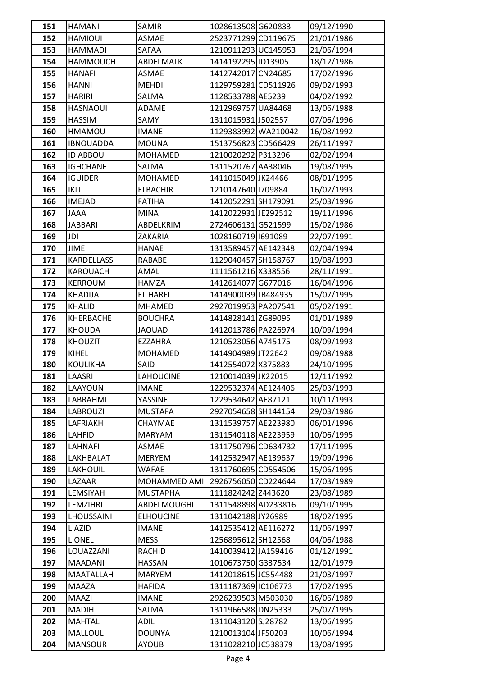| 151 | HAMANI            | SAMIR            | 1028613508 G620833  | 09/12/1990 |
|-----|-------------------|------------------|---------------------|------------|
| 152 | <b>HAMIOUI</b>    | ASMAE            | 2523771299 CD119675 | 21/01/1986 |
| 153 | <b>HAMMADI</b>    | SAFAA            | 1210911293UC145953  | 21/06/1994 |
| 154 | <b>HAMMOUCH</b>   | ABDELMALK        | 1414192295 ID13905  | 18/12/1986 |
| 155 | <b>HANAFI</b>     | ASMAE            | 1412742017 CN24685  | 17/02/1996 |
| 156 | <b>HANNI</b>      | <b>MEHDI</b>     | 1129759281 CD511926 | 09/02/1993 |
| 157 | HARIRI            | SALMA            | 1128533788 AE5239   | 04/02/1992 |
| 158 | <b>HASNAOUI</b>   | ADAME            | 1212969757 UA84468  | 13/06/1988 |
| 159 | <b>HASSIM</b>     | SAMY             | 1311015931 J502557  | 07/06/1996 |
| 160 | HMAMOU            | <b>IMANE</b>     | 1129383992 WA210042 | 16/08/1992 |
| 161 | <b>IBNOUADDA</b>  | <b>MOUNA</b>     | 1513756823 CD566429 | 26/11/1997 |
| 162 | <b>ID ABBOU</b>   | MOHAMED          | 1210020292 P313296  | 02/02/1994 |
| 163 | <b>IGHCHANE</b>   | SALMA            | 1311520767 AA38046  | 19/08/1995 |
| 164 | <b>IGUIDER</b>    | MOHAMED          | 1411015049 JK24466  | 08/01/1995 |
| 165 | <b>IKLI</b>       | <b>ELBACHIR</b>  | 1210147640 1709884  | 16/02/1993 |
| 166 | <b>IMEJAD</b>     | <b>FATIHA</b>    | 1412052291 SH179091 | 25/03/1996 |
| 167 | <b>JAAA</b>       | MINA             | 1412022931 JE292512 | 19/11/1996 |
| 168 | <b>JABBARI</b>    | ABDELKRIM        | 2724606131 G521599  | 15/02/1986 |
| 169 | JDI               | ZAKARIA          | 1028160719 1691089  | 22/07/1991 |
| 170 | <b>JIME</b>       | <b>HANAE</b>     | 1313589457 AE142348 | 02/04/1994 |
| 171 | <b>KARDELLASS</b> | RABABE           | 1129040457 SH158767 | 19/08/1993 |
| 172 | <b>KAROUACH</b>   | AMAL             | 1111561216 X338556  | 28/11/1991 |
| 173 | <b>KERROUM</b>    | <b>HAMZA</b>     | 1412614077 G677016  | 16/04/1996 |
| 174 | <b>KHADIJA</b>    | <b>EL HARFI</b>  | 1414900039 JB484935 | 15/07/1995 |
| 175 | KHALID            | <b>MHAMED</b>    | 2927019953 PA207541 | 05/02/1991 |
| 176 | KHERBACHE         | BOUCHRA          | 1414828141 ZG89095  | 01/01/1989 |
| 177 | <b>KHOUDA</b>     | <b>JAOUAD</b>    | 1412013786 PA226974 | 10/09/1994 |
| 178 | <b>KHOUZIT</b>    | <b>EZZAHRA</b>   | 1210523056 A745175  | 08/09/1993 |
| 179 | KIHEL             | MOHAMED          | 1414904989 JT22642  | 09/08/1988 |
| 180 | <b>KOULIKHA</b>   | SAID             | 1412554072 X375883  | 24/10/1995 |
| 181 | LAASRI            | <b>LAHOUCINE</b> | 1210014039 JK22015  | 12/11/1992 |
| 182 | LAAYOUN           | <b>IMANE</b>     | 1229532374 AE124406 | 25/03/1993 |
| 183 | LABRAHMI          | YASSINE          | 1229534642 AE87121  | 10/11/1993 |
| 184 | <b>LABROUZI</b>   | <b>MUSTAFA</b>   | 2927054658 SH144154 | 29/03/1986 |
| 185 | LAFRIAKH          | CHAYMAE          | 1311539757 AE223980 | 06/01/1996 |
| 186 | <b>LAHFID</b>     | <b>MARYAM</b>    | 1311540118 AE223959 | 10/06/1995 |
| 187 | LAHNAFI           | ASMAE            | 1311750796 CD634732 | 17/11/1995 |
| 188 | LAKHBALAT         | <b>MERYEM</b>    | 1412532947 AE139637 | 19/09/1996 |
| 189 | LAKHOUIL          | WAFAE            | 1311760695 CD554506 | 15/06/1995 |
| 190 | LAZAAR            | MOHAMMED AMI     | 2926756050 CD224644 | 17/03/1989 |
| 191 | LEMSIYAH          | <b>MUSTAPHA</b>  | 1111824242 Z443620  | 23/08/1989 |
| 192 | LEMZIHRI          | ABDELMOUGHIT     | 1311548898 AD233816 | 09/10/1995 |
| 193 | <b>LHOUSSAINI</b> | <b>ELHOUCINE</b> | 1311042188 JY26989  | 18/02/1995 |
| 194 | LIAZID            | <b>IMANE</b>     | 1412535412 AE116272 | 11/06/1997 |
| 195 | LIONEL            | <b>MESSI</b>     | 1256895612 SH12568  | 04/06/1988 |
| 196 | LOUAZZANI         | RACHID           | 1410039412 JA159416 | 01/12/1991 |
| 197 | MAADANI           | <b>HASSAN</b>    | 1010673750 G337534  | 12/01/1979 |
| 198 | MAATALLAH         | <b>MARYEM</b>    | 1412018615 JC554488 | 21/03/1997 |
| 199 | MAAZA             | <b>HAFIDA</b>    | 1311187369 C106773  | 17/02/1995 |
| 200 | MAAZI             | <b>IMANE</b>     | 2926239503 M503030  | 16/06/1989 |
| 201 | <b>MADIH</b>      | SALMA            | 1311966588 DN25333  | 25/07/1995 |
| 202 | <b>MAHTAL</b>     | ADIL             | 1311043120 SJ28782  | 13/06/1995 |
| 203 | <b>MALLOUL</b>    | <b>DOUNYA</b>    | 1210013104 JF50203  | 10/06/1994 |
| 204 | <b>MANSOUR</b>    | <b>AYOUB</b>     | 1311028210 JC538379 | 13/08/1995 |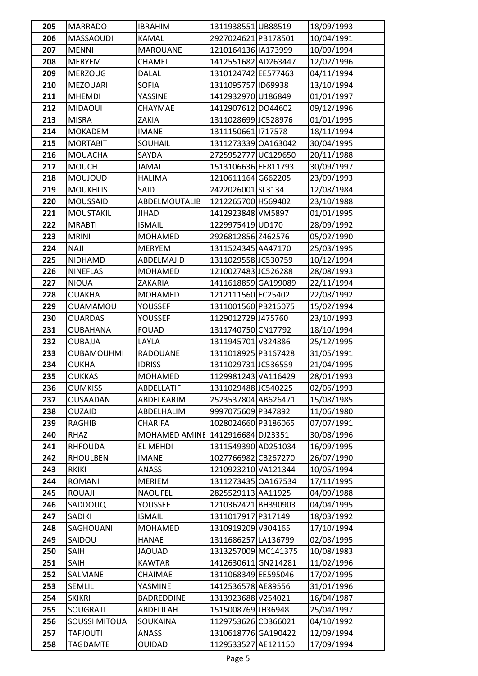| 205        | <b>MARRADO</b>    | <b>IBRAHIM</b>            | 1311938551 UB88519                         | 18/09/1993               |
|------------|-------------------|---------------------------|--------------------------------------------|--------------------------|
| 206        | <b>MASSAOUDI</b>  | KAMAL                     | 2927024621 PB178501                        | 10/04/1991               |
| 207        | <b>MENNI</b>      | MAROUANE                  | 1210164136 IA173999                        | 10/09/1994               |
| 208        | <b>MERYEM</b>     | CHAMEL                    | 1412551682 AD263447                        | 12/02/1996               |
| 209        | <b>MERZOUG</b>    | DALAL                     | 1310124742 EE577463                        | 04/11/1994               |
| 210        | <b>MEZOUARI</b>   | <b>SOFIA</b>              | 1311095757 ID69938                         | 13/10/1994               |
| 211        | <b>MHEMDI</b>     | YASSINE                   | 1412932970 U186849                         | 01/01/1997               |
| 212        | <b>MIDAOUI</b>    | CHAYMAE                   | 1412907612 DO44602                         | 09/12/1996               |
| 213        | <b>MISRA</b>      | ZAKIA                     | 1311028699 JC528976                        | 01/01/1995               |
| 214        | <b>MOKADEM</b>    | <b>IMANE</b>              | 1311150661 717578                          | 18/11/1994               |
| 215        | <b>MORTABIT</b>   | SOUHAIL                   | 1311273339 QA163042                        | 30/04/1995               |
| 216        | MOUACHA           | SAYDA                     | 2725952777 UC129650                        | 20/11/1988               |
| 217        | <b>MOUCH</b>      | JAMAL                     | 1513106636 EE811793                        | 30/09/1997               |
| 218        | <b>MOUJOUD</b>    | <b>HALIMA</b>             | 1210611164G662205                          | 23/09/1993               |
| 219        | <b>MOUKHLIS</b>   | SAID                      | 2422026001 SL3134                          | 12/08/1984               |
| 220        | <b>MOUSSAID</b>   | ABDELMOUTALIB             | 1212265700 H569402                         | 23/10/1988               |
| 221        | <b>MOUSTAKIL</b>  | JIHAD                     | 1412923848 VM5897                          | 01/01/1995               |
| 222        | <b>MRABTI</b>     | <b>ISMAIL</b>             | 1229975419 UD170                           | 28/09/1992               |
| 223        | <b>MRINI</b>      | MOHAMED                   | 2926812856 Z462576                         | 05/02/1990               |
| 224        | <b>NAJI</b>       | <b>MERYEM</b>             | 1311524345 AA47170                         | 25/03/1995               |
| 225        | <b>NIDHAMD</b>    | ABDELMAJID                | 1311029558 JC530759                        | 10/12/1994               |
| 226        | <b>NINEFLAS</b>   | MOHAMED                   | 1210027483 JC526288                        | 28/08/1993               |
| 227        | <b>NIOUA</b>      | ZAKARIA                   | 1411618859 GA199089                        | 22/11/1994               |
| 228        | <b>OUAKHA</b>     | MOHAMED                   | 1212111560 EC25402                         | 22/08/1992               |
| 229        | <b>OUAMAMOU</b>   | YOUSSEF                   | 1311001560 PB215075                        | 15/02/1994               |
| 230        | <b>OUARDAS</b>    | <b>YOUSSEF</b>            | 1129012729 J475760                         | 23/10/1993               |
| 231        | <b>OUBAHANA</b>   | <b>FOUAD</b>              | 1311740750 CN17792                         | 18/10/1994               |
| 232        | <b>OUBAJJA</b>    | LAYLA                     | 1311945701 V324886                         | 25/12/1995               |
| 233        | <b>OUBAMOUHMI</b> | <b>RADOUANE</b>           | 1311018925 PB167428                        | 31/05/1991               |
| 234        | <b>OUKHAI</b>     | <b>IDRISS</b>             | 1311029731 JC536559                        | 21/04/1995               |
| 235        | <b>OUKKAS</b>     | <b>MOHAMED</b>            | 1129981243 VA116429                        | 28/01/1993               |
| 236        | <b>OUMKISS</b>    | ABDELLATIF                | 1311029488 JC540225                        | 02/06/1993               |
| 237        | <b>OUSAADAN</b>   | ABDELKARIM                | 2523537804 AB626471                        | 15/08/1985               |
| 238        | <b>OUZAID</b>     | ABDELHALIM                | 9997075609 PB47892                         | 11/06/1980               |
| 239        | RAGHIB            | <b>CHARIFA</b>            | 1028024660 PB186065                        | 07/07/1991               |
| 240        | <b>RHAZ</b>       | MOHAMED AMINE             | 1412916684 DJ23351                         | 30/08/1996               |
| 241        | <b>RHFOUDA</b>    | EL MEHDI                  | 1311549390 AD251034                        | 16/09/1995               |
| 242        | <b>RHOULBEN</b>   | <b>IMANE</b>              | 1027766982 CB267270<br>1210923210 VA121344 | 26/07/1990               |
| 243        | <b>RKIKI</b>      | ANASS                     | 1311273435 QA167534                        | 10/05/1994               |
| 244        | ROMANI<br>ROUAJI  | <b>MERIEM</b>             |                                            | 17/11/1995               |
| 245<br>246 | SADDOUQ           | <b>NAOUFEL</b><br>YOUSSEF | 2825529113 AA11925<br>1210362421 BH390903  | 04/09/1988<br>04/04/1995 |
| 247        | SADIKI            | <b>ISMAIL</b>             | 1311017917 P317149                         | 18/03/1992               |
| 248        | SAGHOUANI         | MOHAMED                   | 1310919209 V304165                         | 17/10/1994               |
| 249        | SAIDOU            | <b>HANAE</b>              | 1311686257 LA136799                        | 02/03/1995               |
| 250        | SAIH              | <b>JAOUAD</b>             | 1313257009 MC141375                        | 10/08/1983               |
| 251        | SAIHI             | <b>KAWTAR</b>             | 1412630611 GN214281                        | 11/02/1996               |
| 252        | SALMANE           | CHAIMAE                   | 1311068349 EE595046                        | 17/02/1995               |
| 253        | SEMLIL            | YASMINE                   | 1412536578 AE89556                         | 31/01/1996               |
| 254        | <b>SKIKRI</b>     | <b>BADREDDINE</b>         | 1313923688 V254021                         | 16/04/1987               |
| 255        | SOUGRATI          | ABDELILAH                 | 1515008769 JH36948                         | 25/04/1997               |
| 256        | SOUSSI MITOUA     | SOUKAINA                  | 1129753626 CD366021                        | 04/10/1992               |
| 257        | <b>TAFJOUTI</b>   | ANASS                     | 1310618776GA190422                         | 12/09/1994               |
| 258        | TAGDAMTE          | OUIDAD                    | 1129533527 AE121150                        | 17/09/1994               |